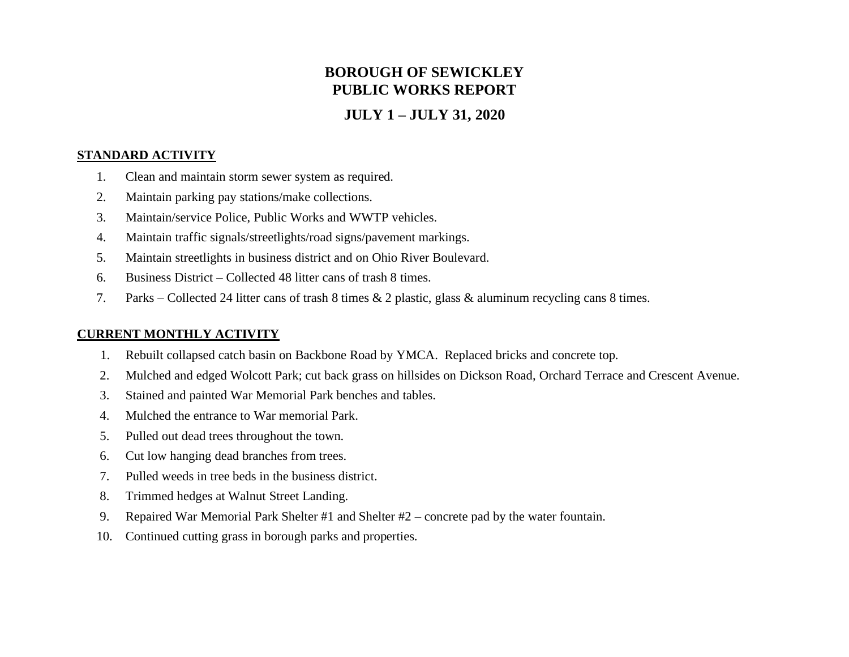# **BOROUGH OF SEWICKLEY PUBLIC WORKS REPORT**

## **JULY 1 – JULY 31, 2020**

## **STANDARD ACTIVITY**

- 1. Clean and maintain storm sewer system as required.
- 2. Maintain parking pay stations/make collections.
- 3. Maintain/service Police, Public Works and WWTP vehicles.
- 4. Maintain traffic signals/streetlights/road signs/pavement markings.
- 5. Maintain streetlights in business district and on Ohio River Boulevard.
- 6. Business District Collected 48 litter cans of trash 8 times.
- 7. Parks Collected 24 litter cans of trash 8 times & 2 plastic, glass & aluminum recycling cans 8 times.

## **CURRENT MONTHLY ACTIVITY**

- 1. Rebuilt collapsed catch basin on Backbone Road by YMCA. Replaced bricks and concrete top.
- 2. Mulched and edged Wolcott Park; cut back grass on hillsides on Dickson Road, Orchard Terrace and Crescent Avenue.
- 3. Stained and painted War Memorial Park benches and tables.
- 4. Mulched the entrance to War memorial Park.
- 5. Pulled out dead trees throughout the town.
- 6. Cut low hanging dead branches from trees.
- 7. Pulled weeds in tree beds in the business district.
- 8. Trimmed hedges at Walnut Street Landing.
- 9. Repaired War Memorial Park Shelter #1 and Shelter #2 concrete pad by the water fountain.
- 10. Continued cutting grass in borough parks and properties.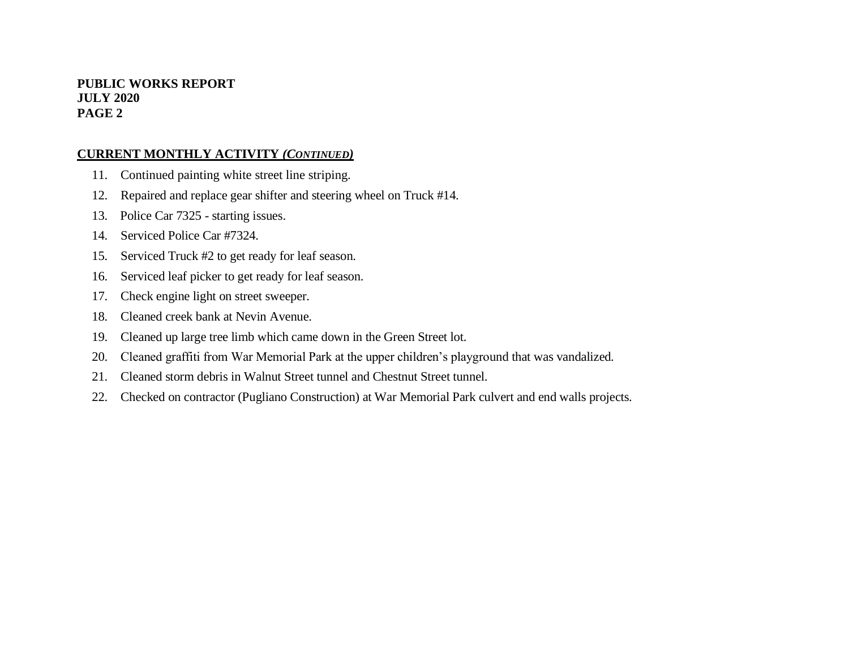#### **PUBLIC WORKS REPORT JULY 2020 PAGE 2**

#### **CURRENT MONTHLY ACTIVITY** *(CONTINUED)*

- 11. Continued painting white street line striping.
- 12. Repaired and replace gear shifter and steering wheel on Truck #14.
- 13. Police Car 7325 starting issues.
- 14. Serviced Police Car #7324.
- 15. Serviced Truck #2 to get ready for leaf season.
- 16. Serviced leaf picker to get ready for leaf season.
- 17. Check engine light on street sweeper.
- 18. Cleaned creek bank at Nevin Avenue.
- 19. Cleaned up large tree limb which came down in the Green Street lot.
- 20. Cleaned graffiti from War Memorial Park at the upper children's playground that was vandalized.
- 21. Cleaned storm debris in Walnut Street tunnel and Chestnut Street tunnel.
- 22. Checked on contractor (Pugliano Construction) at War Memorial Park culvert and end walls projects.